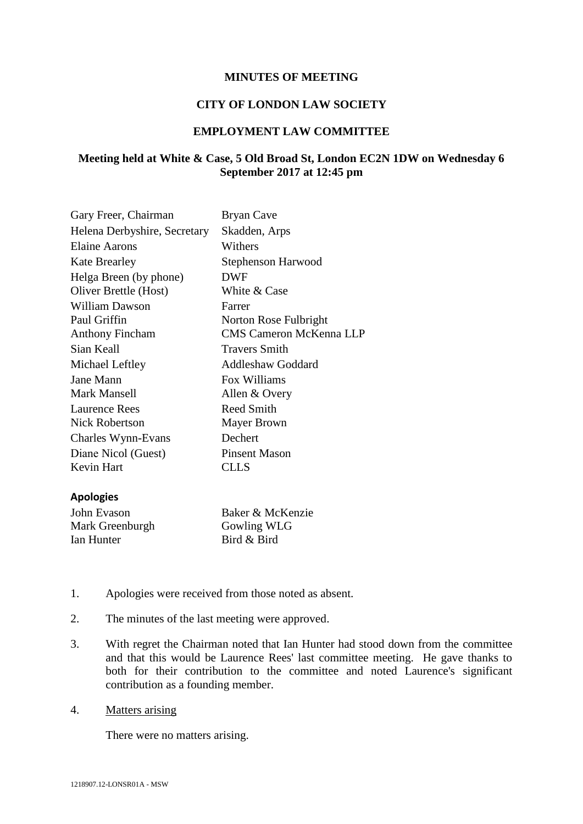## **MINUTES OF MEETING**

## **CITY OF LONDON LAW SOCIETY**

## **EMPLOYMENT LAW COMMITTEE**

# **Meeting held at White & Case, 5 Old Broad St, London EC2N 1DW on Wednesday 6 September 2017 at 12:45 pm**

| Gary Freer, Chairman         | Bryan Cave                     |
|------------------------------|--------------------------------|
| Helena Derbyshire, Secretary | Skadden, Arps                  |
| Elaine Aarons                | Withers                        |
| <b>Kate Brearley</b>         | Stephenson Harwood             |
| Helga Breen (by phone)       | <b>DWF</b>                     |
| Oliver Brettle (Host)        | White & Case                   |
| William Dawson               | Farrer                         |
| Paul Griffin                 | Norton Rose Fulbright          |
| <b>Anthony Fincham</b>       | <b>CMS Cameron McKenna LLP</b> |
| Sian Keall                   | <b>Travers Smith</b>           |
| Michael Leftley              | Addleshaw Goddard              |
| Jane Mann                    | Fox Williams                   |
| Mark Mansell                 | Allen & Overy                  |
| Laurence Rees                | Reed Smith                     |
| Nick Robertson               | Mayer Brown                    |
| Charles Wynn-Evans           | Dechert                        |
| Diane Nicol (Guest)          | <b>Pinsent Mason</b>           |
| Kevin Hart                   | CLLS                           |

#### **Apologies**

| John Evason     | Baker & McKenzie |
|-----------------|------------------|
| Mark Greenburgh | Gowling WLG      |
| Ian Hunter      | Bird & Bird      |

- 1. Apologies were received from those noted as absent.
- 2. The minutes of the last meeting were approved.
- 3. With regret the Chairman noted that Ian Hunter had stood down from the committee and that this would be Laurence Rees' last committee meeting. He gave thanks to both for their contribution to the committee and noted Laurence's significant contribution as a founding member.
- 4. Matters arising

There were no matters arising.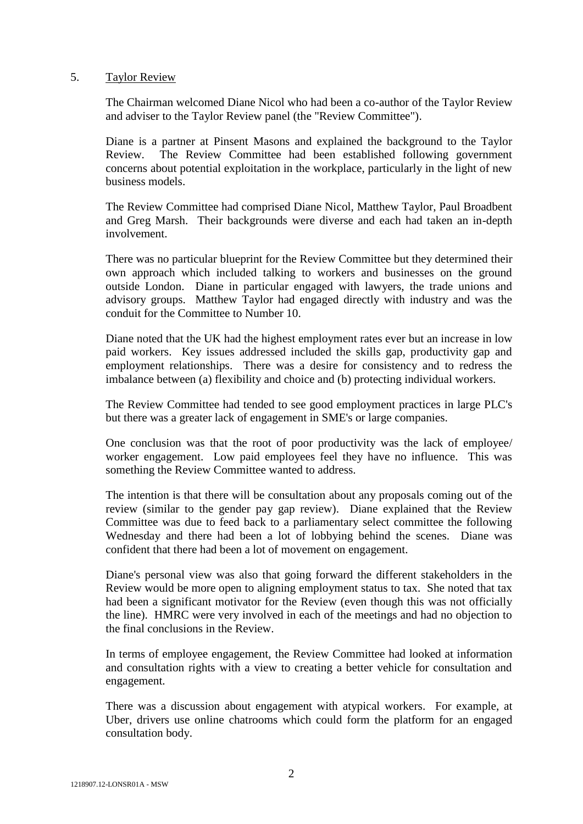## 5. Taylor Review

The Chairman welcomed Diane Nicol who had been a co-author of the Taylor Review and adviser to the Taylor Review panel (the "Review Committee").

Diane is a partner at Pinsent Masons and explained the background to the Taylor Review. The Review Committee had been established following government concerns about potential exploitation in the workplace, particularly in the light of new business models.

The Review Committee had comprised Diane Nicol, Matthew Taylor, Paul Broadbent and Greg Marsh. Their backgrounds were diverse and each had taken an in-depth involvement.

There was no particular blueprint for the Review Committee but they determined their own approach which included talking to workers and businesses on the ground outside London. Diane in particular engaged with lawyers, the trade unions and advisory groups. Matthew Taylor had engaged directly with industry and was the conduit for the Committee to Number 10.

Diane noted that the UK had the highest employment rates ever but an increase in low paid workers. Key issues addressed included the skills gap, productivity gap and employment relationships. There was a desire for consistency and to redress the imbalance between (a) flexibility and choice and (b) protecting individual workers.

The Review Committee had tended to see good employment practices in large PLC's but there was a greater lack of engagement in SME's or large companies.

One conclusion was that the root of poor productivity was the lack of employee/ worker engagement. Low paid employees feel they have no influence. This was something the Review Committee wanted to address.

The intention is that there will be consultation about any proposals coming out of the review (similar to the gender pay gap review). Diane explained that the Review Committee was due to feed back to a parliamentary select committee the following Wednesday and there had been a lot of lobbying behind the scenes. Diane was confident that there had been a lot of movement on engagement.

Diane's personal view was also that going forward the different stakeholders in the Review would be more open to aligning employment status to tax. She noted that tax had been a significant motivator for the Review (even though this was not officially the line). HMRC were very involved in each of the meetings and had no objection to the final conclusions in the Review.

In terms of employee engagement, the Review Committee had looked at information and consultation rights with a view to creating a better vehicle for consultation and engagement.

There was a discussion about engagement with atypical workers. For example, at Uber, drivers use online chatrooms which could form the platform for an engaged consultation body.